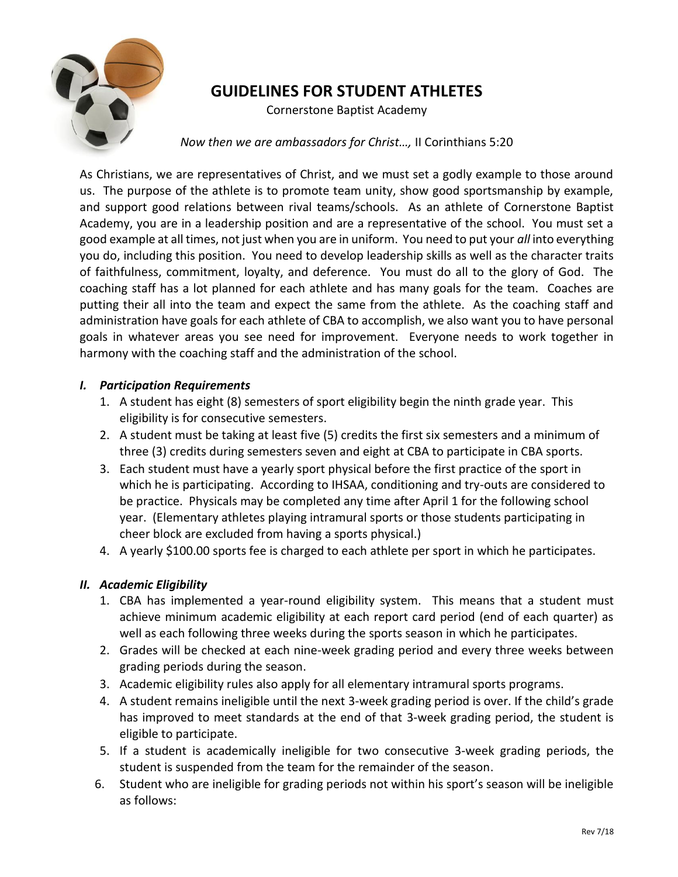

# **GUIDELINES FOR STUDENT ATHLETES**

Cornerstone Baptist Academy

*Now then we are ambassadors for Christ…,* II Corinthians 5:20

As Christians, we are representatives of Christ, and we must set a godly example to those around us. The purpose of the athlete is to promote team unity, show good sportsmanship by example, and support good relations between rival teams/schools. As an athlete of Cornerstone Baptist Academy, you are in a leadership position and are a representative of the school. You must set a good example at all times, not just when you are in uniform. You need to put your *all* into everything you do, including this position. You need to develop leadership skills as well as the character traits of faithfulness, commitment, loyalty, and deference. You must do all to the glory of God. The coaching staff has a lot planned for each athlete and has many goals for the team. Coaches are putting their all into the team and expect the same from the athlete. As the coaching staff and administration have goals for each athlete of CBA to accomplish, we also want you to have personal goals in whatever areas you see need for improvement. Everyone needs to work together in harmony with the coaching staff and the administration of the school.

#### *I. Participation Requirements*

- 1. A student has eight (8) semesters of sport eligibility begin the ninth grade year. This eligibility is for consecutive semesters.
- 2. A student must be taking at least five (5) credits the first six semesters and a minimum of three (3) credits during semesters seven and eight at CBA to participate in CBA sports.
- 3. Each student must have a yearly sport physical before the first practice of the sport in which he is participating. According to IHSAA, conditioning and try-outs are considered to be practice. Physicals may be completed any time after April 1 for the following school year. (Elementary athletes playing intramural sports or those students participating in cheer block are excluded from having a sports physical.)
- 4. A yearly \$100.00 sports fee is charged to each athlete per sport in which he participates.

## *II. Academic Eligibility*

- 1. CBA has implemented a year-round eligibility system. This means that a student must achieve minimum academic eligibility at each report card period (end of each quarter) as well as each following three weeks during the sports season in which he participates.
- 2. Grades will be checked at each nine-week grading period and every three weeks between grading periods during the season.
- 3. Academic eligibility rules also apply for all elementary intramural sports programs.
- 4. A student remains ineligible until the next 3-week grading period is over. If the child's grade has improved to meet standards at the end of that 3-week grading period, the student is eligible to participate.
- 5. If a student is academically ineligible for two consecutive 3-week grading periods, the student is suspended from the team for the remainder of the season.
- 6. Student who are ineligible for grading periods not within his sport's season will be ineligible as follows: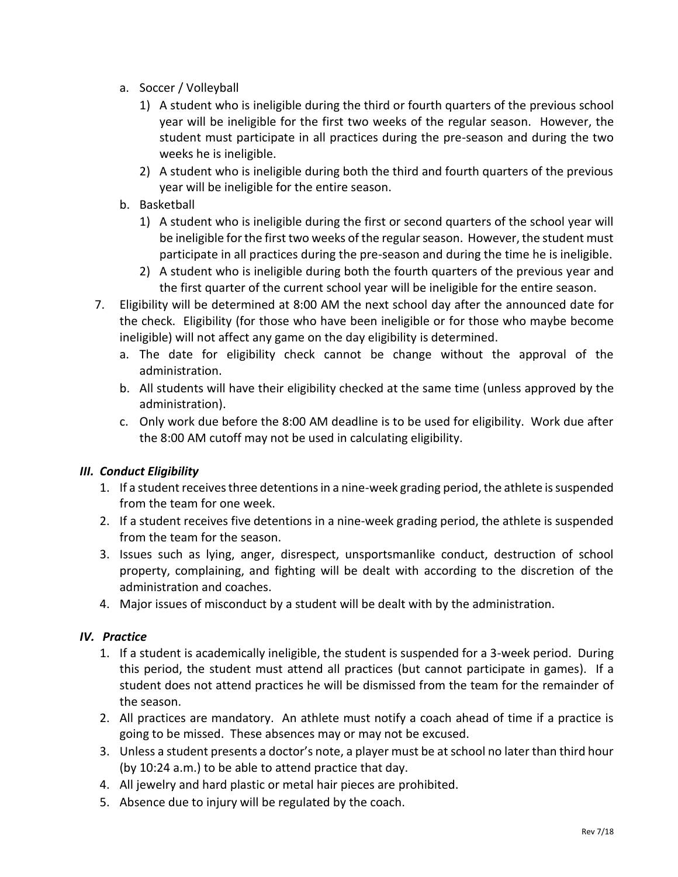- a. Soccer / Volleyball
	- 1) A student who is ineligible during the third or fourth quarters of the previous school year will be ineligible for the first two weeks of the regular season. However, the student must participate in all practices during the pre-season and during the two weeks he is ineligible.
	- 2) A student who is ineligible during both the third and fourth quarters of the previous year will be ineligible for the entire season.
- b. Basketball
	- 1) A student who is ineligible during the first or second quarters of the school year will be ineligible for the first two weeks of the regular season. However, the student must participate in all practices during the pre-season and during the time he is ineligible.
	- 2) A student who is ineligible during both the fourth quarters of the previous year and the first quarter of the current school year will be ineligible for the entire season.
- 7. Eligibility will be determined at 8:00 AM the next school day after the announced date for the check. Eligibility (for those who have been ineligible or for those who maybe become ineligible) will not affect any game on the day eligibility is determined.
	- a. The date for eligibility check cannot be change without the approval of the administration.
	- b. All students will have their eligibility checked at the same time (unless approved by the administration).
	- c. Only work due before the 8:00 AM deadline is to be used for eligibility. Work due after the 8:00 AM cutoff may not be used in calculating eligibility.

# *III. Conduct Eligibility*

- 1. If a student receives three detentions in a nine-week grading period, the athlete is suspended from the team for one week.
- 2. If a student receives five detentions in a nine-week grading period, the athlete is suspended from the team for the season.
- 3. Issues such as lying, anger, disrespect, unsportsmanlike conduct, destruction of school property, complaining, and fighting will be dealt with according to the discretion of the administration and coaches.
- 4. Major issues of misconduct by a student will be dealt with by the administration.

# *IV. Practice*

- 1. If a student is academically ineligible, the student is suspended for a 3-week period. During this period, the student must attend all practices (but cannot participate in games). If a student does not attend practices he will be dismissed from the team for the remainder of the season.
- 2. All practices are mandatory. An athlete must notify a coach ahead of time if a practice is going to be missed. These absences may or may not be excused.
- 3. Unless a student presents a doctor's note, a player must be at school no later than third hour (by 10:24 a.m.) to be able to attend practice that day.
- 4. All jewelry and hard plastic or metal hair pieces are prohibited.
- 5. Absence due to injury will be regulated by the coach.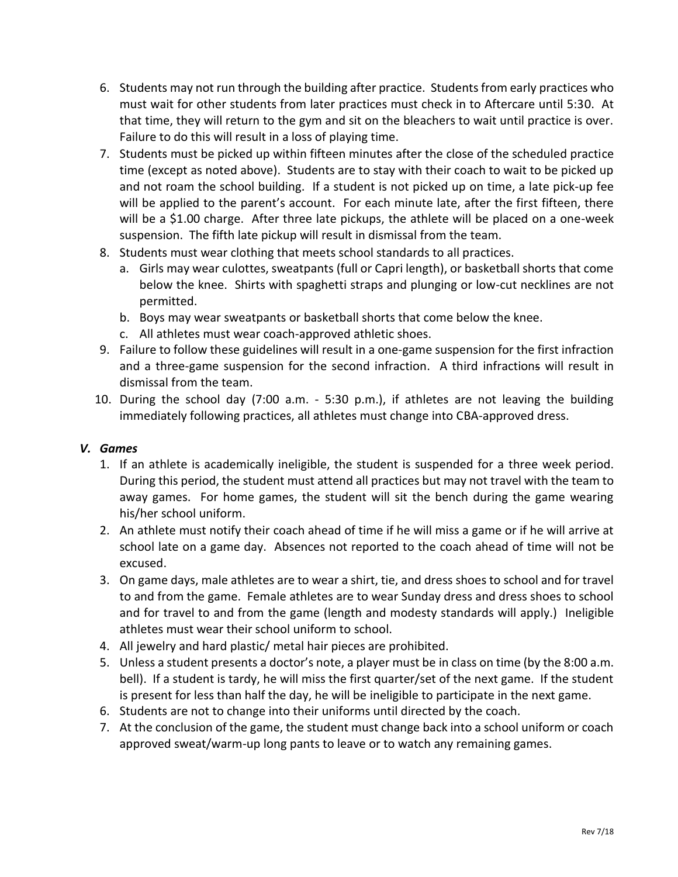- 6. Students may not run through the building after practice. Students from early practices who must wait for other students from later practices must check in to Aftercare until 5:30. At that time, they will return to the gym and sit on the bleachers to wait until practice is over. Failure to do this will result in a loss of playing time.
- 7. Students must be picked up within fifteen minutes after the close of the scheduled practice time (except as noted above). Students are to stay with their coach to wait to be picked up and not roam the school building. If a student is not picked up on time, a late pick-up fee will be applied to the parent's account. For each minute late, after the first fifteen, there will be a \$1.00 charge. After three late pickups, the athlete will be placed on a one-week suspension. The fifth late pickup will result in dismissal from the team.
- 8. Students must wear clothing that meets school standards to all practices.
	- a. Girls may wear culottes, sweatpants (full or Capri length), or basketball shorts that come below the knee. Shirts with spaghetti straps and plunging or low-cut necklines are not permitted.
	- b. Boys may wear sweatpants or basketball shorts that come below the knee.
	- c. All athletes must wear coach-approved athletic shoes.
- 9. Failure to follow these guidelines will result in a one-game suspension for the first infraction and a three-game suspension for the second infraction. A third infractions will result in dismissal from the team.
- 10. During the school day (7:00 a.m. 5:30 p.m.), if athletes are not leaving the building immediately following practices, all athletes must change into CBA-approved dress.

## *V. Games*

- 1. If an athlete is academically ineligible, the student is suspended for a three week period. During this period, the student must attend all practices but may not travel with the team to away games. For home games, the student will sit the bench during the game wearing his/her school uniform.
- 2. An athlete must notify their coach ahead of time if he will miss a game or if he will arrive at school late on a game day. Absences not reported to the coach ahead of time will not be excused.
- 3. On game days, male athletes are to wear a shirt, tie, and dress shoes to school and for travel to and from the game. Female athletes are to wear Sunday dress and dress shoes to school and for travel to and from the game (length and modesty standards will apply.) Ineligible athletes must wear their school uniform to school.
- 4. All jewelry and hard plastic/ metal hair pieces are prohibited.
- 5. Unless a student presents a doctor's note, a player must be in class on time (by the 8:00 a.m. bell). If a student is tardy, he will miss the first quarter/set of the next game. If the student is present for less than half the day, he will be ineligible to participate in the next game.
- 6. Students are not to change into their uniforms until directed by the coach.
- 7. At the conclusion of the game, the student must change back into a school uniform or coach approved sweat/warm-up long pants to leave or to watch any remaining games.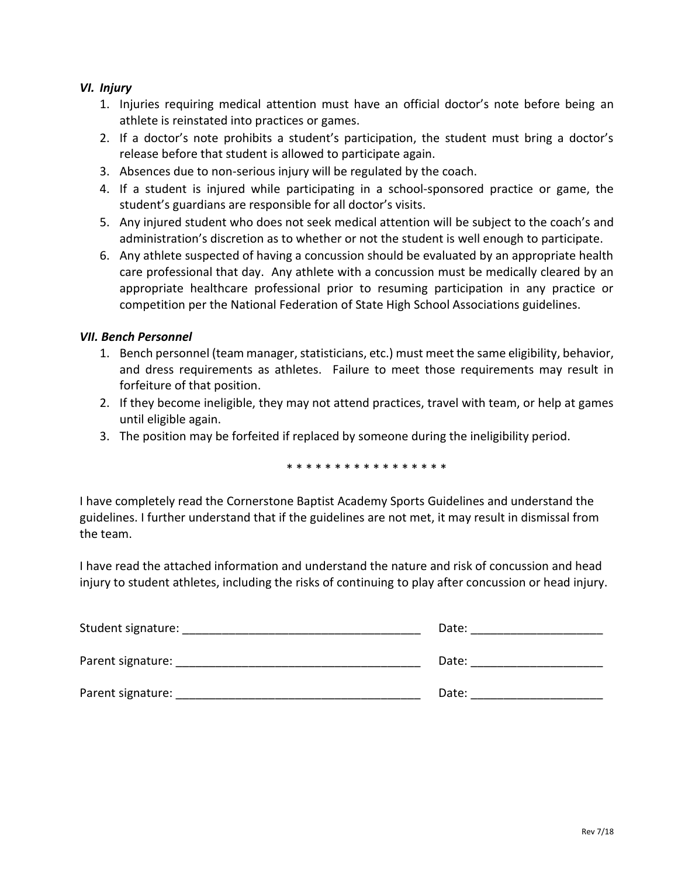#### *VI. Injury*

- 1. Injuries requiring medical attention must have an official doctor's note before being an athlete is reinstated into practices or games.
- 2. If a doctor's note prohibits a student's participation, the student must bring a doctor's release before that student is allowed to participate again.
- 3. Absences due to non-serious injury will be regulated by the coach.
- 4. If a student is injured while participating in a school-sponsored practice or game, the student's guardians are responsible for all doctor's visits.
- 5. Any injured student who does not seek medical attention will be subject to the coach's and administration's discretion as to whether or not the student is well enough to participate.
- 6. Any athlete suspected of having a concussion should be evaluated by an appropriate health care professional that day. Any athlete with a concussion must be medically cleared by an appropriate healthcare professional prior to resuming participation in any practice or competition per the National Federation of State High School Associations guidelines.

#### *VII. Bench Personnel*

- 1. Bench personnel (team manager, statisticians, etc.) must meet the same eligibility, behavior, and dress requirements as athletes. Failure to meet those requirements may result in forfeiture of that position.
- 2. If they become ineligible, they may not attend practices, travel with team, or help at games until eligible again.
- 3. The position may be forfeited if replaced by someone during the ineligibility period.

\* \* \* \* \* \* \* \* \* \* \* \* \* \* \* \*

I have completely read the Cornerstone Baptist Academy Sports Guidelines and understand the guidelines. I further understand that if the guidelines are not met, it may result in dismissal from the team.

I have read the attached information and understand the nature and risk of concussion and head injury to student athletes, including the risks of continuing to play after concussion or head injury.

| Student signature: | Date: |
|--------------------|-------|
| Parent signature:  | Date: |
| Parent signature:  | Date: |